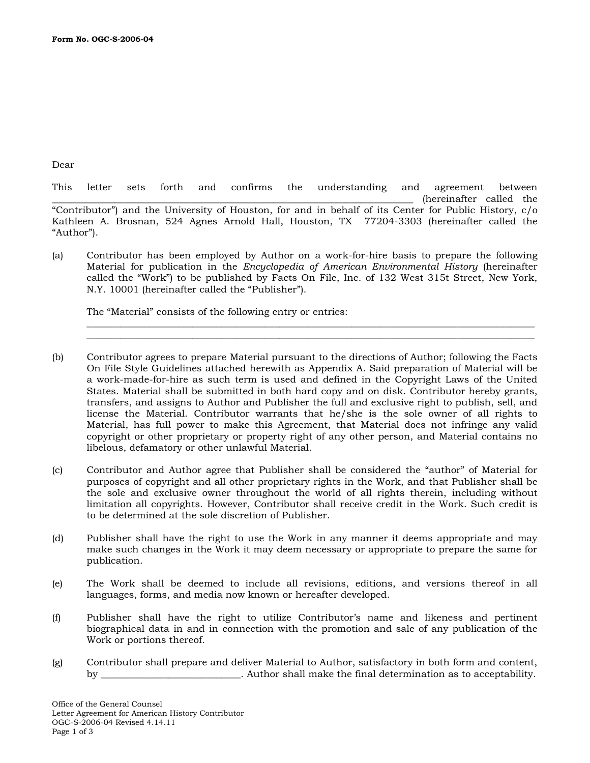Dear

This letter sets forth and confirms the understanding and agreement between (hereinafter called the "Contributor") and the University of Houston, for and in behalf of its Center for Public History, c/o Kathleen A. Brosnan, 524 Agnes Arnold Hall, Houston, TX 77204-3303 (hereinafter called the "Author").

(a) Contributor has been employed by Author on a work-for-hire basis to prepare the following Material for publication in the *Encyclopedia of American Environmental History* (hereinafter called the "Work") to be published by Facts On File, Inc. of 132 West 315t Street, New York, N.Y. 10001 (hereinafter called the "Publisher").

 $\overline{\phantom{a}}$  , and the contribution of the contribution of the contribution of the contribution of the contribution of the contribution of the contribution of the contribution of the contribution of the contribution of the  $\mathcal{L}_\mathcal{L} = \{ \mathcal{L}_\mathcal{L} = \{ \mathcal{L}_\mathcal{L} = \{ \mathcal{L}_\mathcal{L} = \{ \mathcal{L}_\mathcal{L} = \{ \mathcal{L}_\mathcal{L} = \{ \mathcal{L}_\mathcal{L} = \{ \mathcal{L}_\mathcal{L} = \{ \mathcal{L}_\mathcal{L} = \{ \mathcal{L}_\mathcal{L} = \{ \mathcal{L}_\mathcal{L} = \{ \mathcal{L}_\mathcal{L} = \{ \mathcal{L}_\mathcal{L} = \{ \mathcal{L}_\mathcal{L} = \{ \mathcal{L}_\mathcal{$ 

The "Material" consists of the following entry or entries:

- (b) Contributor agrees to prepare Material pursuant to the directions of Author; following the Facts On File Style Guidelines attached herewith as Appendix A. Said preparation of Material will be a work-made-for-hire as such term is used and defined in the Copyright Laws of the United States. Material shall be submitted in both hard copy and on disk. Contributor hereby grants, transfers, and assigns to Author and Publisher the full and exclusive right to publish, sell, and license the Material. Contributor warrants that he/she is the sole owner of all rights to Material, has full power to make this Agreement, that Material does not infringe any valid copyright or other proprietary or property right of any other person, and Material contains no libelous, defamatory or other unlawful Material.
- (c) Contributor and Author agree that Publisher shall be considered the "author" of Material for purposes of copyright and all other proprietary rights in the Work, and that Publisher shall be the sole and exclusive owner throughout the world of all rights therein, including without limitation all copyrights. However, Contributor shall receive credit in the Work. Such credit is to be determined at the sole discretion of Publisher.
- (d) Publisher shall have the right to use the Work in any manner it deems appropriate and may make such changes in the Work it may deem necessary or appropriate to prepare the same for publication.
- (e) The Work shall be deemed to include all revisions, editions, and versions thereof in all languages, forms, and media now known or hereafter developed.
- (f) Publisher shall have the right to utilize Contributor's name and likeness and pertinent biographical data in and in connection with the promotion and sale of any publication of the Work or portions thereof.
- (g) Contributor shall prepare and deliver Material to Author, satisfactory in both form and content, by the contract of the shall make the final determination as to acceptability.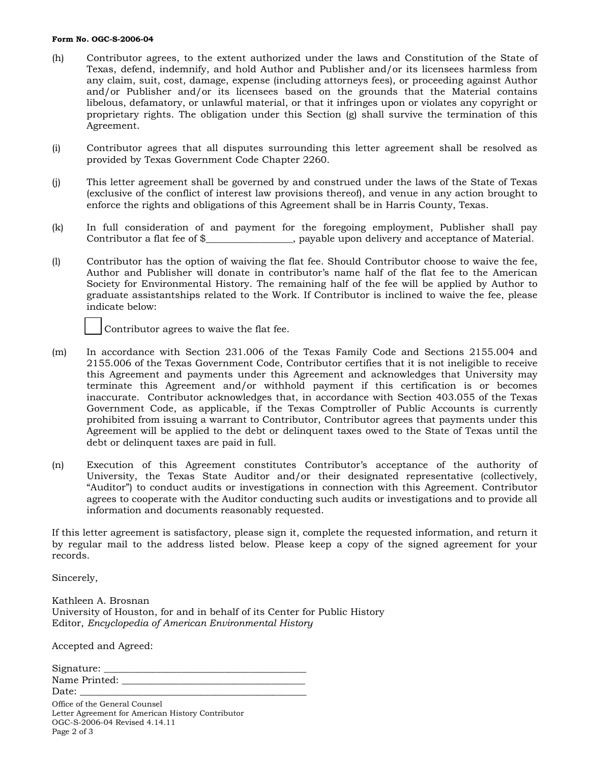## **Form No. OGC-S-2006-04**

- (h) Contributor agrees, to the extent authorized under the laws and Constitution of the State of Texas, defend, indemnify, and hold Author and Publisher and/or its licensees harmless from any claim, suit, cost, damage, expense (including attorneys fees), or proceeding against Author and/or Publisher and/or its licensees based on the grounds that the Material contains libelous, defamatory, or unlawful material, or that it infringes upon or violates any copyright or proprietary rights. The obligation under this Section (g) shall survive the termination of this Agreement.
- (i) Contributor agrees that all disputes surrounding this letter agreement shall be resolved as provided by Texas Government Code Chapter 2260.
- (j) This letter agreement shall be governed by and construed under the laws of the State of Texas (exclusive of the conflict of interest law provisions thereof), and venue in any action brought to enforce the rights and obligations of this Agreement shall be in Harris County, Texas.
- (k) In full consideration of and payment for the foregoing employment, Publisher shall pay Contributor a flat fee of \$\_\_\_\_\_\_\_\_\_\_\_\_\_\_\_\_\_\_, payable upon delivery and acceptance of Material.
- (l) Contributor has the option of waiving the flat fee. Should Contributor choose to waive the fee, Author and Publisher will donate in contributor's name half of the flat fee to the American Society for Environmental History. The remaining half of the fee will be applied by Author to graduate assistantships related to the Work. If Contributor is inclined to waive the fee, please indicate below:



- (m) In accordance with Section 231.006 of the Texas Family Code and Sections 2155.004 and 2155.006 of the Texas Government Code, Contributor certifies that it is not ineligible to receive this Agreement and payments under this Agreement and acknowledges that University may terminate this Agreement and/or withhold payment if this certification is or becomes inaccurate. Contributor acknowledges that, in accordance with Section 403.055 of the Texas Government Code, as applicable, if the Texas Comptroller of Public Accounts is currently prohibited from issuing a warrant to Contributor, Contributor agrees that payments under this Agreement will be applied to the debt or delinquent taxes owed to the State of Texas until the debt or delinquent taxes are paid in full.
- (n) Execution of this Agreement constitutes Contributor's acceptance of the authority of University, the Texas State Auditor and/or their designated representative (collectively, "Auditor") to conduct audits or investigations in connection with this Agreement. Contributor agrees to cooperate with the Auditor conducting such audits or investigations and to provide all information and documents reasonably requested.

If this letter agreement is satisfactory, please sign it, complete the requested information, and return it by regular mail to the address listed below. Please keep a copy of the signed agreement for your records.

Sincerely,

Kathleen A. Brosnan University of Houston, for and in behalf of its Center for Public History Editor, *Encyclopedia of American Environmental History*

Accepted and Agreed:

| Signature:    |  |
|---------------|--|
| Name Printed: |  |
| Date:         |  |

Office of the General Counsel Letter Agreement for American History Contributor OGC-S-2006-04 Revised 4.14.11 Page 2 of 3